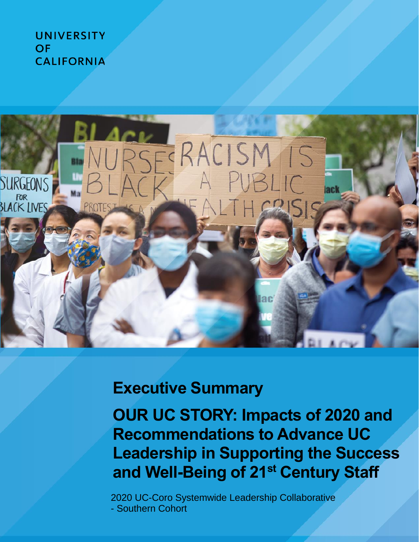**UNIVERSITY** OF **CALIFORNIA** 



# **Executive Summary**

**OUR UC STORY: Impacts of 2020 and Recommendations to Advance UC Leadership in Supporting the Success and Well-Being of 21st Century Staff**

2020 UC-Coro Systemwide Leadership Collaborative - Southern Cohort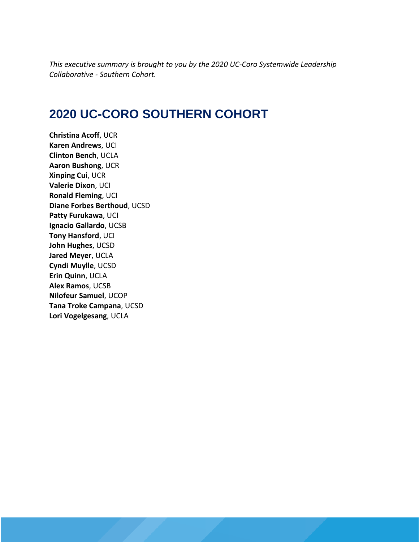*This executive summary is brought to you by the 2020 UC-Coro Systemwide Leadership Collaborative - Southern Cohort.* 

## **2020 UC-CORO SOUTHERN COHORT**

**Christina Acoff**, UCR **Karen Andrews**, UCI **Clinton Bench**, UCLA **Aaron Bushong**, UCR **Xinping Cui**, UCR **Valerie Dixon**, UCI **Ronald Fleming**, UCI **Diane Forbes Berthoud**, UCSD **Patty Furukawa**, UCI **Ignacio Gallardo**, UCSB **Tony Hansford**, UCI **John Hughes**, UCSD **Jared Meyer**, UCLA **Cyndi Muylle**, UCSD **Erin Quinn**, UCLA **Alex Ramos**, UCSB **Nilofeur Samuel**, UCOP **Tana Troke Campana**, UCSD **Lori Vogelgesang**, UCLA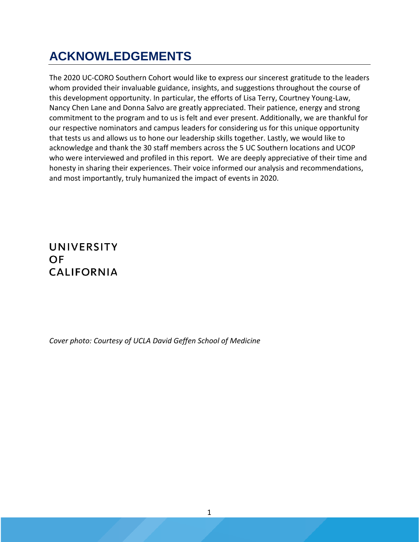## **ACKNOWLEDGEMENTS**

The 2020 UC-CORO Southern Cohort would like to express our sincerest gratitude to the leaders whom provided their invaluable guidance, insights, and suggestions throughout the course of this development opportunity. In particular, the efforts of Lisa Terry, Courtney Young-Law, Nancy Chen Lane and Donna Salvo are greatly appreciated. Their patience, energy and strong commitment to the program and to us is felt and ever present. Additionally, we are thankful for our respective nominators and campus leaders for considering us for this unique opportunity that tests us and allows us to hone our leadership skills together. Lastly, we would like to acknowledge and thank the 30 staff members across the 5 UC Southern locations and UCOP who were interviewed and profiled in this report. We are deeply appreciative of their time and honesty in sharing their experiences. Their voice informed our analysis and recommendations, and most importantly, truly humanized the impact of events in 2020.

### **UNIVERSITY OF CALIFORNIA**

*Cover photo: Courtesy of UCLA David Geffen School of Medicine*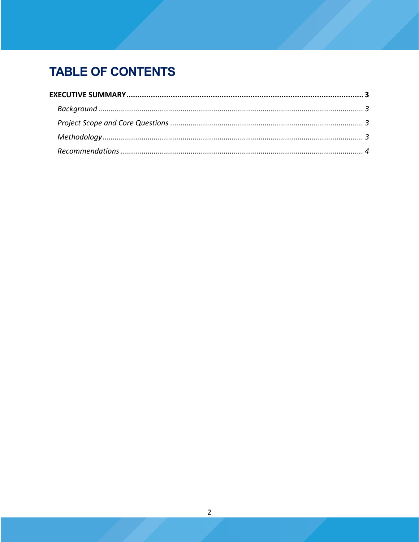## **TABLE OF CONTENTS**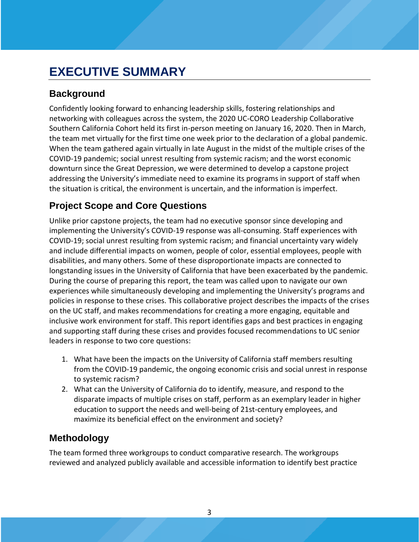## <span id="page-4-0"></span>**EXECUTIVE SUMMARY**

### <span id="page-4-1"></span>**Background**

Confidently looking forward to enhancing leadership skills, fostering relationships and networking with colleagues across the system, the 2020 UC-CORO Leadership Collaborative Southern California Cohort held its first in-person meeting on January 16, 2020. Then in March, the team met virtually for the first time one week prior to the declaration of a global pandemic. When the team gathered again virtually in late August in the midst of the multiple crises of the COVID-19 pandemic; social unrest resulting from systemic racism; and the worst economic downturn since the Great Depression, we were determined to develop a capstone project addressing the University's immediate need to examine its programs in support of staff when the situation is critical, the environment is uncertain, and the information is imperfect.

### <span id="page-4-2"></span>**Project Scope and Core Questions**

Unlike prior capstone projects, the team had no executive sponsor since developing and implementing the University's COVID-19 response was all-consuming. Staff experiences with COVID-19; social unrest resulting from systemic racism; and financial uncertainty vary widely and include differential impacts on women, people of color, essential employees, people with disabilities, and many others. Some of these disproportionate impacts are connected to longstanding issues in the University of California that have been exacerbated by the pandemic. During the course of preparing this report, the team was called upon to navigate our own experiences while simultaneously developing and implementing the University's programs and policies in response to these crises. This collaborative project describes the impacts of the crises on the UC staff, and makes recommendations for creating a more engaging, equitable and inclusive work environment for staff. This report identifies gaps and best practices in engaging and supporting staff during these crises and provides focused recommendations to UC senior leaders in response to two core questions:

- 1. What have been the impacts on the University of California staff members resulting from the COVID-19 pandemic, the ongoing economic crisis and social unrest in response to systemic racism?
- 2. What can the University of California do to identify, measure, and respond to the disparate impacts of multiple crises on staff, perform as an exemplary leader in higher education to support the needs and well-being of 21st-century employees, and maximize its beneficial effect on the environment and society?

### <span id="page-4-3"></span>**Methodology**

The team formed three workgroups to conduct comparative research. The workgroups reviewed and analyzed publicly available and accessible information to identify best practice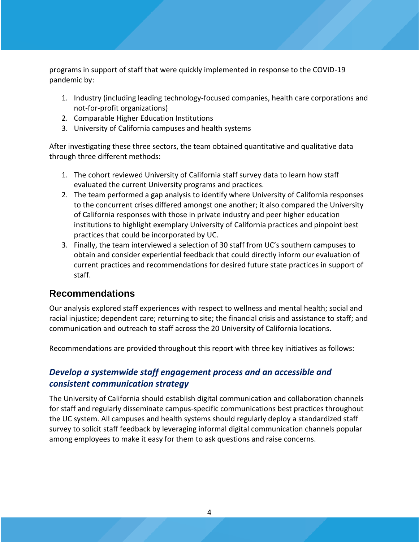programs in support of staff that were quickly implemented in response to the COVID-19 pandemic by:

- 1. Industry (including leading technology-focused companies, health care corporations and not-for-profit organizations)
- 2. Comparable Higher Education Institutions
- 3. University of California campuses and health systems

After investigating these three sectors, the team obtained quantitative and qualitative data through three different methods:

- 1. The cohort reviewed University of California staff survey data to learn how staff evaluated the current University programs and practices.
- 2. The team performed a gap analysis to identify where University of California responses to the concurrent crises differed amongst one another; it also compared the University of California responses with those in private industry and peer higher education institutions to highlight exemplary University of California practices and pinpoint best practices that could be incorporated by UC.
- 3. Finally, the team interviewed a selection of 30 staff from UC's southern campuses to obtain and consider experiential feedback that could directly inform our evaluation of current practices and recommendations for desired future state practices in support of staff.

#### <span id="page-5-0"></span>**Recommendations**

Our analysis explored staff experiences with respect to wellness and mental health; social and racial injustice; dependent care; returning to site; the financial crisis and assistance to staff; and communication and outreach to staff across the 20 University of California locations.

Recommendations are provided throughout this report with three key initiatives as follows:

#### *Develop a systemwide staff engagement process and an accessible and consistent communication strategy*

The University of California should establish digital communication and collaboration channels for staff and regularly disseminate campus-specific communications best practices throughout the UC system. All campuses and health systems should regularly deploy a standardized staff survey to solicit staff feedback by leveraging informal digital communication channels popular among employees to make it easy for them to ask questions and raise concerns.

4